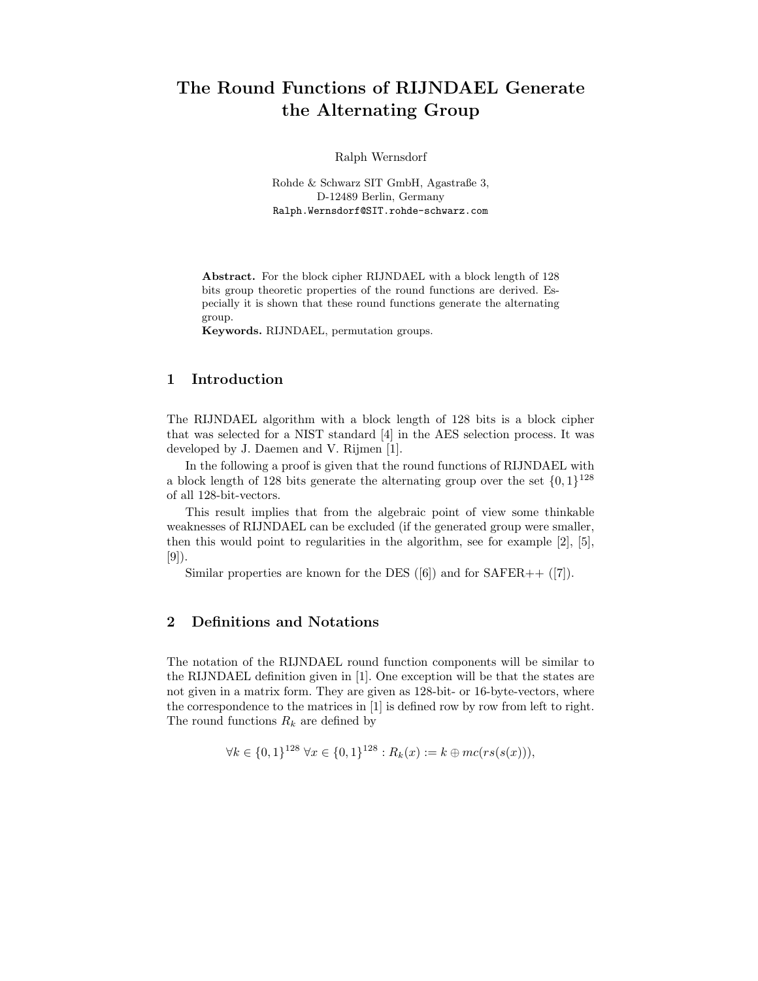# The Round Functions of RIJNDAEL Generate the Alternating Group

Ralph Wernsdorf

Rohde & Schwarz SIT GmbH, Agastraße 3, D-12489 Berlin, Germany Ralph.Wernsdorf@SIT.rohde-schwarz.com

Abstract. For the block cipher RIJNDAEL with a block length of 128 bits group theoretic properties of the round functions are derived. Especially it is shown that these round functions generate the alternating group.

Keywords. RIJNDAEL, permutation groups.

## 1 Introduction

The RIJNDAEL algorithm with a block length of 128 bits is a block cipher that was selected for a NIST standard [4] in the AES selection process. It was developed by J. Daemen and V. Rijmen [1].

In the following a proof is given that the round functions of RIJNDAEL with a block length of 128 bits generate the alternating group over the set  $\{0, 1\}^{128}$ of all 128-bit-vectors.

This result implies that from the algebraic point of view some thinkable weaknesses of RIJNDAEL can be excluded (if the generated group were smaller, then this would point to regularities in the algorithm, see for example  $[2]$ ,  $[5]$ , [9]).

Similar properties are known for the DES  $([6])$  and for  $SAFER++ ([7])$ .

# 2 Definitions and Notations

The notation of the RIJNDAEL round function components will be similar to the RIJNDAEL definition given in [1]. One exception will be that the states are not given in a matrix form. They are given as 128-bit- or 16-byte-vectors, where the correspondence to the matrices in [1] is defined row by row from left to right. The round functions  $R_k$  are defined by

$$
\forall k \in \{0,1\}^{128} \,\forall x \in \{0,1\}^{128} : R_k(x) := k \oplus mc(rs(s(x))),
$$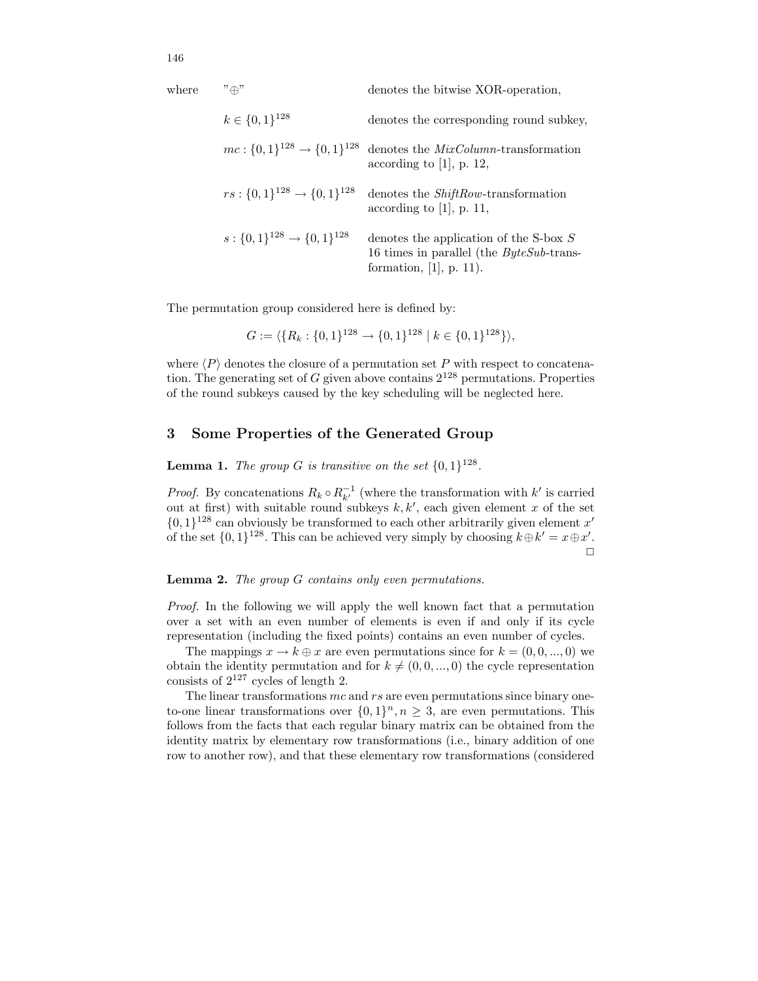| where | $"\oplus"$                                    | denotes the bitwise XOR-operation,                                                                                    |
|-------|-----------------------------------------------|-----------------------------------------------------------------------------------------------------------------------|
|       | $k \in \{0,1\}^{128}$                         | denotes the corresponding round subkey,                                                                               |
|       | $mc: \{0,1\}^{128} \rightarrow \{0,1\}^{128}$ | denotes the <i>MixColumn</i> -transformation<br>according to [1], p. 12,                                              |
|       | $rs: \{0,1\}^{128} \rightarrow \{0,1\}^{128}$ | denotes the <i>ShiftRow</i> -transformation<br>according to [1], p. 11,                                               |
|       | $s: \{0,1\}^{128} \rightarrow \{0,1\}^{128}$  | denotes the application of the S-box $S$<br>16 times in parallel (the $ByteSub$ -trans-<br>formation, $[1]$ , p. 11). |

The permutation group considered here is defined by:

$$
G := \langle \{R_k : \{0,1\}^{128} \to \{0,1\}^{128} \mid k \in \{0,1\}^{128} \} \rangle,
$$

where  $\langle P \rangle$  denotes the closure of a permutation set P with respect to concatenation. The generating set of G given above contains  $2^{128}$  permutations. Properties of the round subkeys caused by the key scheduling will be neglected here.

### 3 Some Properties of the Generated Group

**Lemma 1.** The group G is transitive on the set  $\{0,1\}^{128}$ .

*Proof.* By concatenations  $R_k \circ R_{k'}^{-1}$  (where the transformation with  $k'$  is carried out at first) with suitable round subkeys  $k, k'$ , each given element x of the set  $\{0,1\}^{128}$  can obviously be transformed to each other arbitrarily given element x' of the set  $\{0,1\}^{128}$ . This can be achieved very simply by choosing  $k \oplus k' = x \oplus x'$ .  $\Box$ 

#### **Lemma 2.** The group  $G$  contains only even permutations.

Proof. In the following we will apply the well known fact that a permutation over a set with an even number of elements is even if and only if its cycle representation (including the fixed points) contains an even number of cycles.

The mappings  $x \to k \oplus x$  are even permutations since for  $k = (0, 0, ..., 0)$  we obtain the identity permutation and for  $k \neq (0, 0, ..., 0)$  the cycle representation consists of  $2^{127}$  cycles of length 2.

The linear transformations  $mc$  and  $rs$  are even permutations since binary oneto-one linear transformations over  $\{0,1\}^n, n \geq 3$ , are even permutations. This follows from the facts that each regular binary matrix can be obtained from the identity matrix by elementary row transformations (i.e., binary addition of one row to another row), and that these elementary row transformations (considered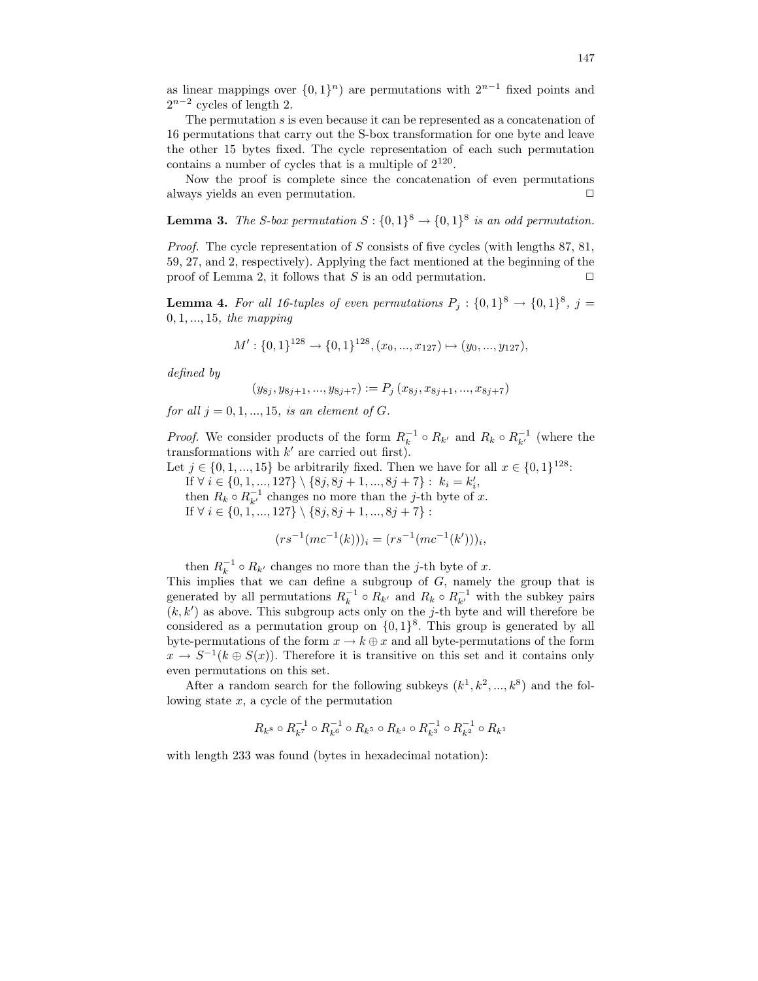as linear mappings over  $\{0,1\}^n$  are permutations with  $2^{n-1}$  fixed points and  $2^{n-2}$  cycles of length 2.

The permutation s is even because it can be represented as a concatenation of 16 permutations that carry out the S-box transformation for one byte and leave the other 15 bytes fixed. The cycle representation of each such permutation contains a number of cycles that is a multiple of  $2^{120}$ .

Now the proof is complete since the concatenation of even permutations always yields an even permutation.  $\Box$ 

**Lemma 3.** The S-box permutation  $S: \{0,1\}^8 \to \{0,1\}^8$  is an odd permutation.

Proof. The cycle representation of S consists of five cycles (with lengths 87, 81, 59, 27, and 2, respectively). Applying the fact mentioned at the beginning of the proof of Lemma 2, it follows that S is an odd permutation.  $\Box$ 

**Lemma 4.** For all 16-tuples of even permutations  $P_j: \{0,1\}^8 \to \{0,1\}^8$ , j =  $0, 1, ..., 15,$  the mapping

$$
M': \{0,1\}^{128} \to \{0,1\}^{128}, (x_0, ..., x_{127}) \mapsto (y_0, ..., y_{127}),
$$

defined by

$$
(y_{8j}, y_{8j+1}, ..., y_{8j+7}) := P_j(x_{8j}, x_{8j+1}, ..., x_{8j+7})
$$

for all  $j = 0, 1, ..., 15$ , is an element of G.

*Proof.* We consider products of the form  $R_k^{-1} \circ R_{k'}$  and  $R_k \circ R_{k'}^{-1}$  (where the transformations with  $k'$  are carried out first).

Let  $j \in \{0, 1, ..., 15\}$  be arbitrarily fixed. Then we have for all  $x \in \{0, 1\}^{128}$ :

If  $\forall i \in \{0, 1, ..., 127\} \setminus \{8j, 8j + 1, ..., 8j + 7\} : k_i = k'_i,$ 

then  $R_k \circ R_{k'}^{-1}$  changes no more than the j-th byte of x.

If  $\forall i \in \{0, 1, ..., 127\} \setminus \{8j, 8j + 1, ..., 8j + 7\}$ :

$$
(rs^{-1}(mc^{-1}(k)))_i = (rs^{-1}(mc^{-1}(k')))_i,
$$

then  $R_k^{-1} \circ R_{k'}$  changes no more than the j-th byte of x.

This implies that we can define a subgroup of  $G$ , namely the group that is generated by all permutations  $R_k^{-1} \circ R_{k'}$  and  $R_k \circ R_{k'}^{-1}$  with the subkey pairs  $(k, k')$  as above. This subgroup acts only on the j-th byte and will therefore be considered as a permutation group on  $\{0,1\}^8$ . This group is generated by all byte-permutations of the form  $x \to k \oplus x$  and all byte-permutations of the form  $x \to S^{-1}(k \oplus S(x))$ . Therefore it is transitive on this set and it contains only even permutations on this set.

After a random search for the following subkeys  $(k<sup>1</sup>, k<sup>2</sup>, ..., k<sup>8</sup>)$  and the following state  $x$ , a cycle of the permutation

$$
R_{k^8}\circ R_{k^7}^{-1}\circ R_{k^6}^{-1}\circ R_{k^5}\circ R_{k^4}\circ R_{k^3}^{-1}\circ R_{k^2}^{-1}\circ R_{k^1}
$$

with length 233 was found (bytes in hexadecimal notation):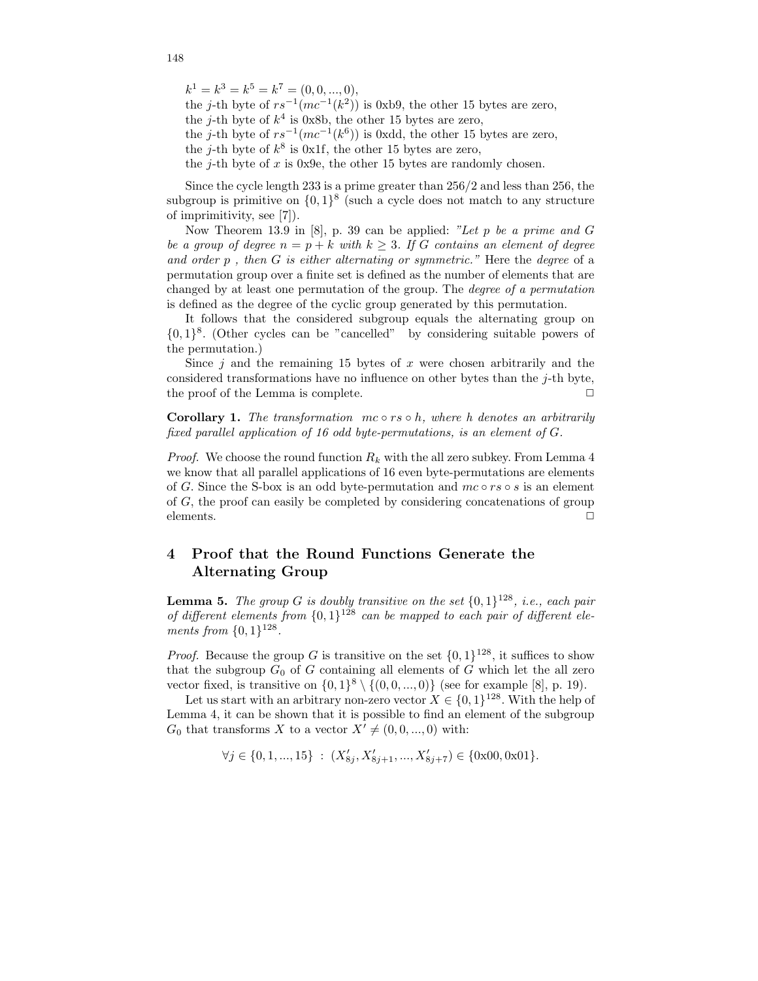$k^1 = k^3 = k^5 = k^7 = (0, 0, ..., 0),$ 

the j-th byte of  $rs^{-1}(mc^{-1}(k^2))$  is 0xb9, the other 15 bytes are zero, the j-th byte of  $k^4$  is 0x8b, the other 15 bytes are zero,

the j-th byte of  $rs^{-1}(mc^{-1}(k^6))$  is 0xdd, the other 15 bytes are zero,

the j-th byte of  $k^8$  is 0x1f, the other 15 bytes are zero,

the j-th byte of  $x$  is 0x9e, the other 15 bytes are randomly chosen.

Since the cycle length 233 is a prime greater than 256/2 and less than 256, the subgroup is primitive on  $\{0,1\}^8$  (such a cycle does not match to any structure of imprimitivity, see [7]).

Now Theorem 13.9 in [8], p. 39 can be applied: "Let p be a prime and  $G$ be a group of degree  $n = p + k$  with  $k \geq 3$ . If G contains an element of degree and order  $p$ , then  $G$  is either alternating or symmetric." Here the degree of a permutation group over a finite set is defined as the number of elements that are changed by at least one permutation of the group. The degree of a permutation is defined as the degree of the cyclic group generated by this permutation.

It follows that the considered subgroup equals the alternating group on {0, 1} 8 . (Other cycles can be "cancelled" by considering suitable powers of the permutation.)

Since  $j$  and the remaining 15 bytes of x were chosen arbitrarily and the considered transformations have no influence on other bytes than the  $j$ -th byte, the proof of the Lemma is complete.  $\Box$ 

**Corollary 1.** The transformation  $mc \circ rs \circ h$ , where h denotes an arbitrarily fixed parallel application of 16 odd byte-permutations, is an element of G.

*Proof.* We choose the round function  $R_k$  with the all zero subkey. From Lemma 4 we know that all parallel applications of 16 even byte-permutations are elements of G. Since the S-box is an odd byte-permutation and  $mc \circ rs \circ s$  is an element of G, the proof can easily be completed by considering concatenations of group elements.  $\Box$ 

# 4 Proof that the Round Functions Generate the Alternating Group

**Lemma 5.** The group G is doubly transitive on the set  $\{0,1\}^{128}$ , i.e., each pair of different elements from  $\{0,1\}^{128}$  can be mapped to each pair of different elements from  $\{0, 1\}^{128}$ .

*Proof.* Because the group G is transitive on the set  $\{0, 1\}^{128}$ , it suffices to show that the subgroup  $G_0$  of G containing all elements of G which let the all zero vector fixed, is transitive on  $\{0,1\}^8 \setminus \{(0,0,...,0)\}$  (see for example [8], p. 19).

Let us start with an arbitrary non-zero vector  $X \in \{0,1\}^{128}$ . With the help of Lemma 4, it can be shown that it is possible to find an element of the subgroup  $G_0$  that transforms X to a vector  $X' \neq (0, 0, ..., 0)$  with:

$$
\forall j \in \{0, 1, ..., 15\} : (X'_{8j}, X'_{8j+1}, ..., X'_{8j+7}) \in \{0x00, 0x01\}.
$$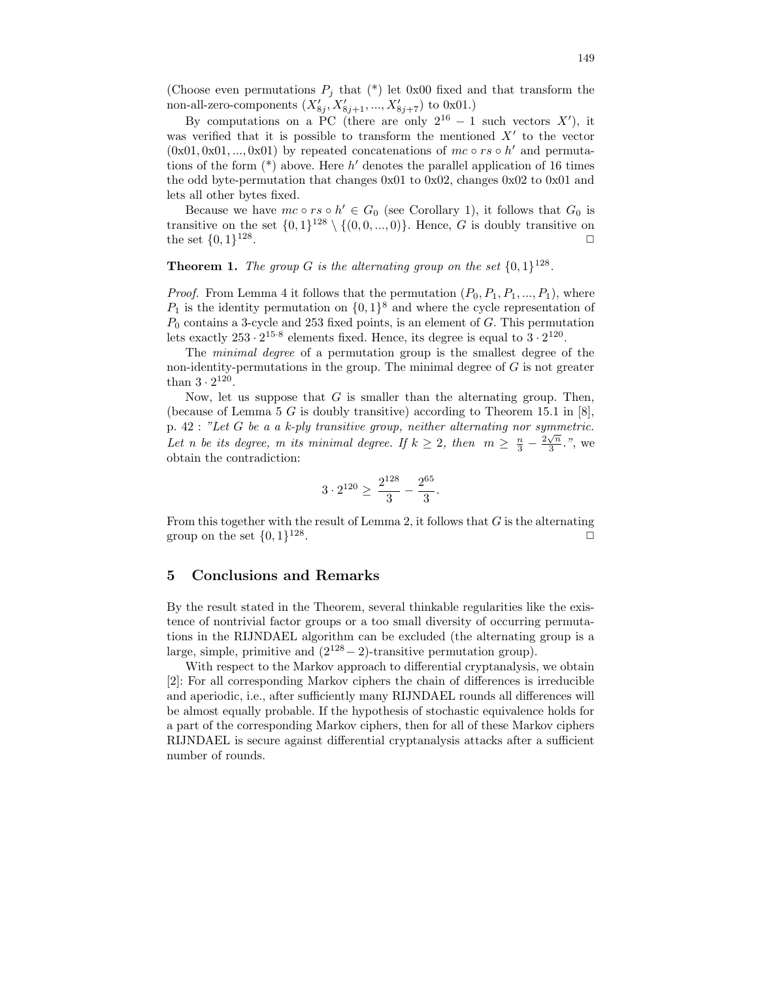(Choose even permutations  $P_i$  that (\*) let 0x00 fixed and that transform the non-all-zero-components  $(X'_{8j}, X'_{8j+1}, ..., X'_{8j+7})$  to 0x01.)

By computations on a PC (there are only  $2^{16} - 1$  such vectors X'), it was verified that it is possible to transform the mentioned  $X'$  to the vector  $(0x01, 0x01, ..., 0x01)$  by repeated concatenations of  $mc \circ rs \circ h'$  and permutations of the form  $(*)$  above. Here h' denotes the parallel application of 16 times the odd byte-permutation that changes  $0x01$  to  $0x02$ , changes  $0x02$  to  $0x01$  and lets all other bytes fixed.

Because we have  $mc \circ rs \circ h' \in G_0$  (see Corollary 1), it follows that  $G_0$  is transitive on the set  $\{0,1\}^{128} \setminus \{(0,0,...,0)\}$ . Hence, G is doubly transitive on the set  $\{0,1\}^{128}$ . ✷

# **Theorem 1.** The group G is the alternating group on the set  $\{0,1\}^{128}$ .

*Proof.* From Lemma 4 it follows that the permutation  $(P_0, P_1, P_1, ..., P_1)$ , where  $P_1$  is the identity permutation on  $\{0,1\}^8$  and where the cycle representation of  $P_0$  contains a 3-cycle and 253 fixed points, is an element of  $G$ . This permutation lets exactly  $253 \cdot 2^{15 \cdot 8}$  elements fixed. Hence, its degree is equal to  $3 \cdot 2^{120}$ .

The minimal degree of a permutation group is the smallest degree of the non-identity-permutations in the group. The minimal degree of  $G$  is not greater than  $3 \cdot 2^{120}$ .

Now, let us suppose that  $G$  is smaller than the alternating group. Then, (because of Lemma 5 G is doubly transitive) according to Theorem 15.1 in  $[8]$ , p. 42 : "Let G be a a k-ply transitive group, neither alternating nor symmetric. Let n be its degree, m its minimal degree. If  $k \geq 2$ , then  $m \geq \frac{n}{3} - \frac{2\sqrt{n}}{3}$ .", we obtain the contradiction:

$$
3 \cdot 2^{120} \ge \frac{2^{128}}{3} - \frac{2^{65}}{3}.
$$

From this together with the result of Lemma 2, it follows that  $G$  is the alternating group on the set  $\{0,1\}^{128}$ . The contract of the contract of  $\Box$ 

#### 5 Conclusions and Remarks

By the result stated in the Theorem, several thinkable regularities like the existence of nontrivial factor groups or a too small diversity of occurring permutations in the RIJNDAEL algorithm can be excluded (the alternating group is a large, simple, primitive and  $(2^{128}-2)$ -transitive permutation group).

With respect to the Markov approach to differential cryptanalysis, we obtain [2]: For all corresponding Markov ciphers the chain of differences is irreducible and aperiodic, i.e., after sufficiently many RIJNDAEL rounds all differences will be almost equally probable. If the hypothesis of stochastic equivalence holds for a part of the corresponding Markov ciphers, then for all of these Markov ciphers RIJNDAEL is secure against differential cryptanalysis attacks after a sufficient number of rounds.